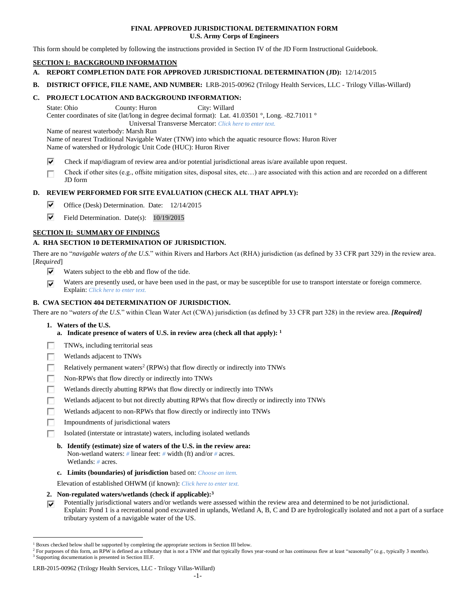## **FINAL APPROVED JURISDICTIONAL DETERMINATION FORM U.S. Army Corps of Engineers**

This form should be completed by following the instructions provided in Section IV of the JD Form Instructional Guidebook.

# **SECTION I: BACKGROUND INFORMATION**

- **A. REPORT COMPLETION DATE FOR APPROVED JURISDICTIONAL DETERMINATION (JD):** 12/14/2015
- **B. DISTRICT OFFICE, FILE NAME, AND NUMBER:** LRB-2015-00962 (Trilogy Health Services, LLC Trilogy Villas-Willard)

## **C. PROJECT LOCATION AND BACKGROUND INFORMATION:**

State: Ohio County: Huron City: Willard

Center coordinates of site (lat/long in degree decimal format): Lat. 41.03501 °, Long. -82.71011 °

Universal Transverse Mercator: *Click here to enter text.*

Name of nearest waterbody: Marsh Run

Name of nearest Traditional Navigable Water (TNW) into which the aquatic resource flows: Huron River Name of watershed or Hydrologic Unit Code (HUC): Huron River

- ⊽ Check if map/diagram of review area and/or potential jurisdictional areas is/are available upon request.
- Check if other sites (e.g., offsite mitigation sites, disposal sites, etc…) are associated with this action and are recorded on a different г JD form

# **D. REVIEW PERFORMED FOR SITE EVALUATION (CHECK ALL THAT APPLY):**

- ⊽ Office (Desk) Determination. Date: 12/14/2015
- ⊽ Field Determination. Date(s): 10/19/2015

# **SECTION II: SUMMARY OF FINDINGS**

# **A. RHA SECTION 10 DETERMINATION OF JURISDICTION.**

There are no "*navigable waters of the U.S.*" within Rivers and Harbors Act (RHA) jurisdiction (as defined by 33 CFR part 329) in the review area. [*Required*]

- ⊽ Waters subject to the ebb and flow of the tide.
- Waters are presently used, or have been used in the past, or may be susceptible for use to transport interstate or foreign commerce. ⊽ Explain: *Click here to enter text.*

# **B. CWA SECTION 404 DETERMINATION OF JURISDICTION.**

There are no "*waters of the U.S.*" within Clean Water Act (CWA) jurisdiction (as defined by 33 CFR part 328) in the review area. *[Required]*

**1. Waters of the U.S.**

 $\overline{a}$ 

- **a. Indicate presence of waters of U.S. in review area (check all that apply): 1**
- TNWs, including territorial seas
- п Wetlands adjacent to TNWs
- г Relatively permanent waters<sup>2</sup> (RPWs) that flow directly or indirectly into TNWs
- Non-RPWs that flow directly or indirectly into TNWs
- п Wetlands directly abutting RPWs that flow directly or indirectly into TNWs
- Wetlands adjacent to but not directly abutting RPWs that flow directly or indirectly into TNWs г
- Wetlands adjacent to non-RPWs that flow directly or indirectly into TNWs г
- Impoundments of jurisdictional waters
- Isolated (interstate or intrastate) waters, including isolated wetlands
- **b. Identify (estimate) size of waters of the U.S. in the review area:** Non-wetland waters: *#* linear feet: *#* width (ft) and/or *#* acres. Wetlands: *#* acres.
- **c. Limits (boundaries) of jurisdiction** based on: *Choose an item.*

Elevation of established OHWM (if known): *Click here to enter text.*

- **2. Non-regulated waters/wetlands (check if applicable): 3**
- Potentially jurisdictional waters and/or wetlands were assessed within the review area and determined to be not jurisdictional. ⊽ Explain: Pond 1 is a recreational pond excavated in uplands, Wetland A, B, C and D are hydrologically isolated and not a part of a surface tributary system of a navigable water of the US.

<sup>&</sup>lt;sup>1</sup> Boxes checked below shall be supported by completing the appropriate sections in Section III below.

<sup>&</sup>lt;sup>2</sup> For purposes of this form, an RPW is defined as a tributary that is not a TNW and that typically flows year-round or has continuous flow at least "seasonally" (e.g., typically 3 months). <sup>3</sup> Supporting documentation is presented in Section III.F.

LRB-2015-00962 (Trilogy Health Services, LLC - Trilogy Villas-Willard)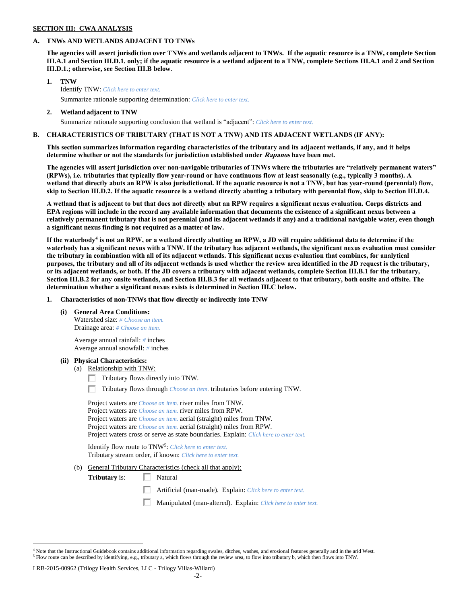## **SECTION III: CWA ANALYSIS**

## **A. TNWs AND WETLANDS ADJACENT TO TNWs**

**The agencies will assert jurisdiction over TNWs and wetlands adjacent to TNWs. If the aquatic resource is a TNW, complete Section III.A.1 and Section III.D.1. only; if the aquatic resource is a wetland adjacent to a TNW, complete Sections III.A.1 and 2 and Section III.D.1.; otherwise, see Section III.B below**.

- **1. TNW**  Identify TNW: *Click here to enter text.* Summarize rationale supporting determination: *Click here to enter text.*
- **2. Wetland adjacent to TNW** Summarize rationale supporting conclusion that wetland is "adjacent": *Click here to enter text.*

# **B. CHARACTERISTICS OF TRIBUTARY (THAT IS NOT A TNW) AND ITS ADJACENT WETLANDS (IF ANY):**

# **This section summarizes information regarding characteristics of the tributary and its adjacent wetlands, if any, and it helps determine whether or not the standards for jurisdiction established under Rapanos have been met.**

**The agencies will assert jurisdiction over non-navigable tributaries of TNWs where the tributaries are "relatively permanent waters" (RPWs), i.e. tributaries that typically flow year-round or have continuous flow at least seasonally (e.g., typically 3 months). A wetland that directly abuts an RPW is also jurisdictional. If the aquatic resource is not a TNW, but has year-round (perennial) flow, skip to Section III.D.2. If the aquatic resource is a wetland directly abutting a tributary with perennial flow, skip to Section III.D.4.**

**A wetland that is adjacent to but that does not directly abut an RPW requires a significant nexus evaluation. Corps districts and EPA regions will include in the record any available information that documents the existence of a significant nexus between a relatively permanent tributary that is not perennial (and its adjacent wetlands if any) and a traditional navigable water, even though a significant nexus finding is not required as a matter of law.**

**If the waterbody<sup>4</sup> is not an RPW, or a wetland directly abutting an RPW, a JD will require additional data to determine if the waterbody has a significant nexus with a TNW. If the tributary has adjacent wetlands, the significant nexus evaluation must consider the tributary in combination with all of its adjacent wetlands. This significant nexus evaluation that combines, for analytical purposes, the tributary and all of its adjacent wetlands is used whether the review area identified in the JD request is the tributary, or its adjacent wetlands, or both. If the JD covers a tributary with adjacent wetlands, complete Section III.B.1 for the tributary, Section III.B.2 for any onsite wetlands, and Section III.B.3 for all wetlands adjacent to that tributary, both onsite and offsite. The determination whether a significant nexus exists is determined in Section III.C below.**

**1. Characteristics of non-TNWs that flow directly or indirectly into TNW**

**(i) General Area Conditions:**

Watershed size: *# Choose an item.* Drainage area: *# Choose an item.*

Average annual rainfall: *#* inches Average annual snowfall: *#* inches

## **(ii) Physical Characteristics:**

- (a) Relationship with TNW:
	- $\Box$  Tributary flows directly into TNW.

Tributary flows through *Choose an item.* tributaries before entering TNW.

| Project waters are <i>Choose an item</i> , river miles from TNW.                      |
|---------------------------------------------------------------------------------------|
| Project waters are <i>Choose an item</i> , river miles from RPW.                      |
| Project waters are <i>Choose an item.</i> aerial (straight) miles from TNW.           |
| Project waters are <i>Choose an item.</i> aerial (straight) miles from RPW.           |
| Project waters cross or serve as state boundaries. Explain: Click here to enter text. |

Identify flow route to TNW<sup>5</sup>: Click here to enter text. Tributary stream order, if known: *Click here to enter text.*

(b) General Tributary Characteristics (check all that apply):

**Tributary** is: □ Natural

П Artificial (man-made). Explain: *Click here to enter text.*

п Manipulated (man-altered). Explain: *Click here to enter text.*

#### LRB-2015-00962 (Trilogy Health Services, LLC - Trilogy Villas-Willard)

 $\overline{a}$ 

<sup>4</sup> Note that the Instructional Guidebook contains additional information regarding swales, ditches, washes, and erosional features generally and in the arid West. <sup>5</sup> Flow route can be described by identifying, e.g., tributary a, which flows through the review area, to flow into tributary b, which then flows into TNW.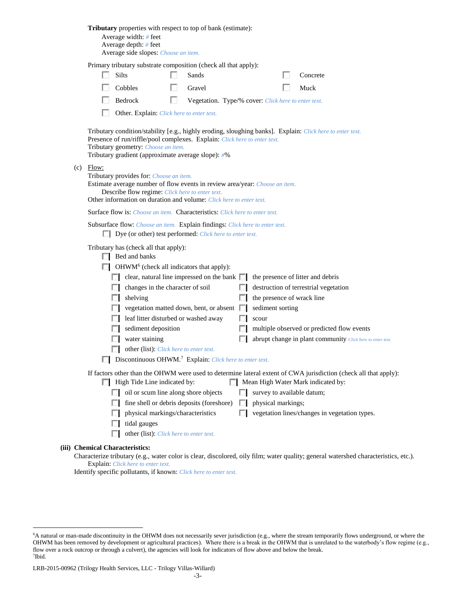|     |       | Tributary properties with respect to top of bank (estimate):<br>Average width: $#$ feet<br>Average depth: $#$ feet<br>Average side slopes: Choose an item.                                                                                       |                                                     |                            |                                                                                                                                                        |
|-----|-------|--------------------------------------------------------------------------------------------------------------------------------------------------------------------------------------------------------------------------------------------------|-----------------------------------------------------|----------------------------|--------------------------------------------------------------------------------------------------------------------------------------------------------|
|     |       | Primary tributary substrate composition (check all that apply):                                                                                                                                                                                  |                                                     |                            |                                                                                                                                                        |
|     |       | Silts                                                                                                                                                                                                                                            | Sands                                               |                            | Concrete                                                                                                                                               |
|     |       | Cobbles                                                                                                                                                                                                                                          | Gravel                                              |                            | Muck                                                                                                                                                   |
|     |       | Bedrock                                                                                                                                                                                                                                          | Vegetation. Type/% cover: Click here to enter text. |                            |                                                                                                                                                        |
|     |       | Other. Explain: Click here to enter text.                                                                                                                                                                                                        |                                                     |                            |                                                                                                                                                        |
|     |       | Presence of run/riffle/pool complexes. Explain: Click here to enter text.<br>Tributary geometry: Choose an item.<br>Tributary gradient (approximate average slope): #%                                                                           |                                                     |                            | Tributary condition/stability [e.g., highly eroding, sloughing banks]. Explain: Click here to enter text.                                              |
| (c) | Flow: | Tributary provides for: Choose an item.<br>Estimate average number of flow events in review area/year: Choose an item.<br>Describe flow regime: Click here to enter text.<br>Other information on duration and volume: Click here to enter text. |                                                     |                            |                                                                                                                                                        |
|     |       | <b>Surface flow is:</b> <i>Choose an item.</i> <b>Characteristics:</b> <i>Click here to enter text.</i>                                                                                                                                          |                                                     |                            |                                                                                                                                                        |
|     |       | Subsurface flow: Choose an item. Explain findings: Click here to enter text.<br>$\Box$ Dye (or other) test performed: <i>Click here to enter text</i> .                                                                                          |                                                     |                            |                                                                                                                                                        |
|     |       | Tributary has (check all that apply):<br>Bed and banks<br>OHWM <sup>6</sup> (check all indicators that apply):                                                                                                                                   |                                                     |                            |                                                                                                                                                        |
|     |       |                                                                                                                                                                                                                                                  | clear, natural line impressed on the bank $\square$ |                            | the presence of litter and debris                                                                                                                      |
|     |       | changes in the character of soil                                                                                                                                                                                                                 |                                                     |                            | destruction of terrestrial vegetation                                                                                                                  |
|     |       | shelving                                                                                                                                                                                                                                         |                                                     | the presence of wrack line |                                                                                                                                                        |
|     |       |                                                                                                                                                                                                                                                  | vegetation matted down, bent, or absent $\Box$      | sediment sorting           |                                                                                                                                                        |
|     |       | leaf litter disturbed or washed away                                                                                                                                                                                                             |                                                     | scour                      |                                                                                                                                                        |
|     |       | sediment deposition                                                                                                                                                                                                                              |                                                     |                            | multiple observed or predicted flow events                                                                                                             |
|     |       | water staining                                                                                                                                                                                                                                   |                                                     |                            | abrupt change in plant community Click here to enter text.                                                                                             |
|     |       | other (list): Click here to enter text.<br>Discontinuous OHWM. <sup>7</sup> Explain: Click here to enter text.                                                                                                                                   |                                                     |                            |                                                                                                                                                        |
|     |       |                                                                                                                                                                                                                                                  |                                                     |                            |                                                                                                                                                        |
|     |       | $\Box$ High Tide Line indicated by:                                                                                                                                                                                                              |                                                     |                            | If factors other than the OHWM were used to determine lateral extent of CWA jurisdiction (check all that apply):<br>Mean High Water Mark indicated by: |
|     |       | $\Box$ oil or scum line along shore objects                                                                                                                                                                                                      |                                                     | survey to available datum; |                                                                                                                                                        |
|     |       |                                                                                                                                                                                                                                                  | fine shell or debris deposits (foreshore)           | physical markings;         |                                                                                                                                                        |
|     |       | physical markings/characteristics                                                                                                                                                                                                                |                                                     |                            | vegetation lines/changes in vegetation types.                                                                                                          |
|     |       | tidal gauges                                                                                                                                                                                                                                     |                                                     |                            |                                                                                                                                                        |
|     |       | other (list): Click here to enter text.                                                                                                                                                                                                          |                                                     |                            |                                                                                                                                                        |
|     |       | (iii) Chemical Characteristics:                                                                                                                                                                                                                  |                                                     |                            |                                                                                                                                                        |
|     |       |                                                                                                                                                                                                                                                  |                                                     |                            | Characterize tributary (e.g., water color is clear, discolored, oily film; water quality; general watershed characteristics, etc.).                    |

Explain: *Click here to enter text.*

Identify specific pollutants, if known: *Click here to enter text.*

 $\overline{a}$ 

<sup>6</sup>A natural or man-made discontinuity in the OHWM does not necessarily sever jurisdiction (e.g., where the stream temporarily flows underground, or where the OHWM has been removed by development or agricultural practices). Where there is a break in the OHWM that is unrelated to the waterbody's flow regime (e.g., flow over a rock outcrop or through a culvert), the agencies will look for indicators of flow above and below the break. 7 Ibid.

LRB-2015-00962 (Trilogy Health Services, LLC - Trilogy Villas-Willard)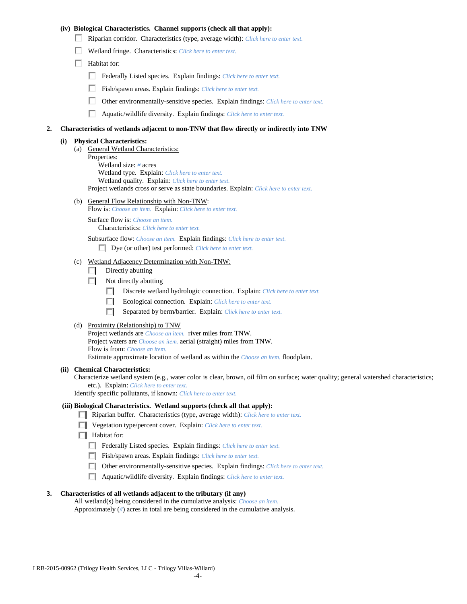## **(iv) Biological Characteristics. Channel supports (check all that apply):**

- Riparian corridor. Characteristics (type, average width): *Click here to enter text.*
- Wetland fringe. Characteristics: *Click here to enter text.*
- $\Box$  Habitat for:
	- Federally Listed species. Explain findings: *Click here to enter text.*
	- Fish/spawn areas. Explain findings: *Click here to enter text.*
	- Other environmentally-sensitive species. Explain findings: *Click here to enter text.* п.
	- п. Aquatic/wildlife diversity. Explain findings: *Click here to enter text.*

#### **2. Characteristics of wetlands adjacent to non-TNW that flow directly or indirectly into TNW**

#### **(i) Physical Characteristics:**

- (a) General Wetland Characteristics:
	- Properties:

Wetland size: *#* acres Wetland type. Explain: *Click here to enter text.*

Wetland quality. Explain: *Click here to enter text.*

Project wetlands cross or serve as state boundaries. Explain: *Click here to enter text.*

(b) General Flow Relationship with Non-TNW: Flow is: *Choose an item.* Explain: *Click here to enter text.*

Surface flow is: *Choose an item.* Characteristics: *Click here to enter text.*

Subsurface flow: *Choose an item.* Explain findings: *Click here to enter text.*

Dye (or other) test performed: *Click here to enter text.*

#### (c) Wetland Adjacency Determination with Non-TNW:

- $\Box$  Directly abutting
- $\Box$  Not directly abutting
	- П. Discrete wetland hydrologic connection. Explain: *Click here to enter text.*
	- Ecological connection. Explain: *Click here to enter text.* ПL.
	- П. Separated by berm/barrier. Explain: *Click here to enter text.*
- (d) Proximity (Relationship) to TNW

Project wetlands are *Choose an item.* river miles from TNW. Project waters are *Choose an item.* aerial (straight) miles from TNW. Flow is from: *Choose an item.* Estimate approximate location of wetland as within the *Choose an item.* floodplain.

#### **(ii) Chemical Characteristics:**

Characterize wetland system (e.g., water color is clear, brown, oil film on surface; water quality; general watershed characteristics; etc.). Explain: *Click here to enter text.*

Identify specific pollutants, if known: *Click here to enter text.*

### **(iii) Biological Characteristics. Wetland supports (check all that apply):**

- Riparian buffer. Characteristics (type, average width): *Click here to enter text.*
- Vegetation type/percent cover. Explain: *Click here to enter text.*
- $\Box$  Habitat for:
	- Federally Listed species. Explain findings: *Click here to enter text*.
	- Fish/spawn areas. Explain findings: *Click here to enter text*.
	- Other environmentally-sensitive species. Explain findings: *Click here to enter text.*
	- Aquatic/wildlife diversity. Explain findings: *Click here to enter text.*

#### **3. Characteristics of all wetlands adjacent to the tributary (if any)**

All wetland(s) being considered in the cumulative analysis: *Choose an item.* Approximately (*#*) acres in total are being considered in the cumulative analysis.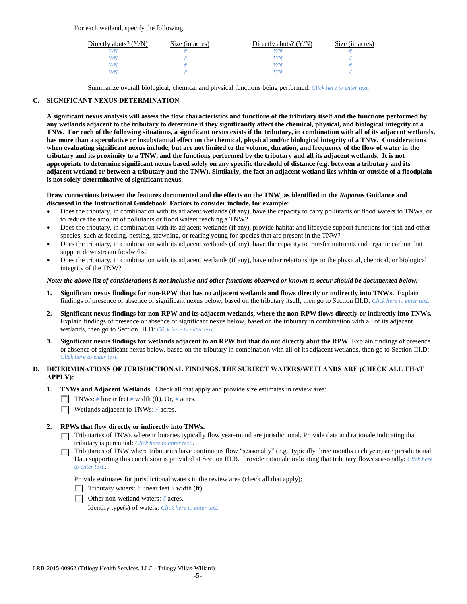For each wetland, specify the following:

| Directly abuts? $(Y/N)$ | Size (in acres) | Directly abuts? $(Y/N)$ | Size (in acres) |
|-------------------------|-----------------|-------------------------|-----------------|
|                         |                 |                         |                 |
| Y/N                     |                 | Y/N                     |                 |
| Y/N                     |                 | $\sqrt{N}$              |                 |
|                         |                 | $\alpha$                |                 |

Summarize overall biological, chemical and physical functions being performed: *Click here to enter text.*

# **C. SIGNIFICANT NEXUS DETERMINATION**

**A significant nexus analysis will assess the flow characteristics and functions of the tributary itself and the functions performed by any wetlands adjacent to the tributary to determine if they significantly affect the chemical, physical, and biological integrity of a TNW. For each of the following situations, a significant nexus exists if the tributary, in combination with all of its adjacent wetlands, has more than a speculative or insubstantial effect on the chemical, physical and/or biological integrity of a TNW. Considerations when evaluating significant nexus include, but are not limited to the volume, duration, and frequency of the flow of water in the tributary and its proximity to a TNW, and the functions performed by the tributary and all its adjacent wetlands. It is not appropriate to determine significant nexus based solely on any specific threshold of distance (e.g. between a tributary and its adjacent wetland or between a tributary and the TNW). Similarly, the fact an adjacent wetland lies within or outside of a floodplain is not solely determinative of significant nexus.** 

## **Draw connections between the features documented and the effects on the TNW, as identified in the** *Rapanos* **Guidance and discussed in the Instructional Guidebook. Factors to consider include, for example:**

- Does the tributary, in combination with its adjacent wetlands (if any), have the capacity to carry pollutants or flood waters to TNWs, or to reduce the amount of pollutants or flood waters reaching a TNW?
- Does the tributary, in combination with its adjacent wetlands (if any), provide habitat and lifecycle support functions for fish and other species, such as feeding, nesting, spawning, or rearing young for species that are present in the TNW?
- Does the tributary, in combination with its adjacent wetlands (if any), have the capacity to transfer nutrients and organic carbon that support downstream foodwebs?
- Does the tributary, in combination with its adjacent wetlands (if any), have other relationships to the physical, chemical, or biological integrity of the TNW?

## *Note: the above list of considerations is not inclusive and other functions observed or known to occur should be documented below:*

- **1. Significant nexus findings for non-RPW that has no adjacent wetlands and flows directly or indirectly into TNWs.** Explain findings of presence or absence of significant nexus below, based on the tributary itself, then go to Section III.D: *Click here to enter text.*
- **2. Significant nexus findings for non-RPW and its adjacent wetlands, where the non-RPW flows directly or indirectly into TNWs.**  Explain findings of presence or absence of significant nexus below, based on the tributary in combination with all of its adjacent wetlands, then go to Section III.D: *Click here to enter text.*
- **3. Significant nexus findings for wetlands adjacent to an RPW but that do not directly abut the RPW.** Explain findings of presence or absence of significant nexus below, based on the tributary in combination with all of its adjacent wetlands, then go to Section III.D: *Click here to enter text.*

# **D. DETERMINATIONS OF JURISDICTIONAL FINDINGS. THE SUBJECT WATERS/WETLANDS ARE (CHECK ALL THAT APPLY):**

- **1. TNWs and Adjacent Wetlands.** Check all that apply and provide size estimates in review area:
	- TNWs: *#* linear feet *#* width (ft), Or, *#* acres.
	- Wetlands adjacent to TNWs: *#* acres.

# **2. RPWs that flow directly or indirectly into TNWs.**

- Tributaries of TNWs where tributaries typically flow year-round are jurisdictional. Provide data and rationale indicating that tributary is perennial: *Click here to enter text.*.
- Tributaries of TNW where tributaries have continuous flow "seasonally" (e.g., typically three months each year) are jurisdictional. Data supporting this conclusion is provided at Section III.B. Provide rationale indicating that tributary flows seasonally: *Click here to enter text.*.

Provide estimates for jurisdictional waters in the review area (check all that apply):

- Tributary waters:  $\#$  linear feet  $\#$  width (ft).
- Other non-wetland waters: *#* acres.

Identify type(s) of waters: *Click here to enter text.*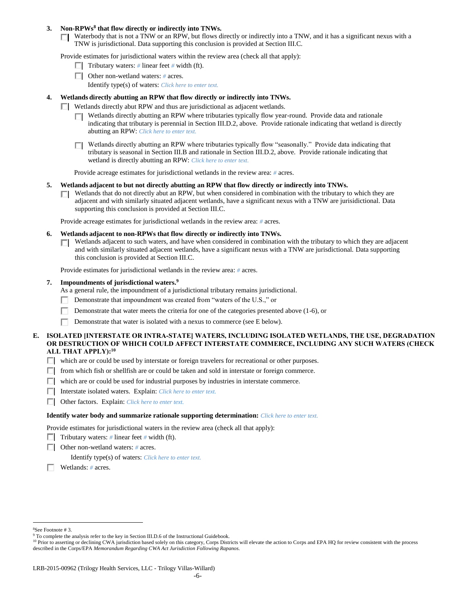## **3. Non-RPWs<sup>8</sup> that flow directly or indirectly into TNWs.**

Waterbody that is not a TNW or an RPW, but flows directly or indirectly into a TNW, and it has a significant nexus with a TNW is jurisdictional. Data supporting this conclusion is provided at Section III.C.

Provide estimates for jurisdictional waters within the review area (check all that apply):

- **Tributary waters:** # linear feet # width (ft).
- Other non-wetland waters: *#* acres.
	- Identify type(s) of waters: *Click here to enter text.*
- **4. Wetlands directly abutting an RPW that flow directly or indirectly into TNWs.**
	- $\Box$  Wetlands directly abut RPW and thus are jurisdictional as adjacent wetlands.
		- $\Box$  Wetlands directly abutting an RPW where tributaries typically flow year-round. Provide data and rationale indicating that tributary is perennial in Section III.D.2, above. Provide rationale indicating that wetland is directly abutting an RPW: *Click here to enter text.*
		- Wetlands directly abutting an RPW where tributaries typically flow "seasonally." Provide data indicating that tributary is seasonal in Section III.B and rationale in Section III.D.2, above. Provide rationale indicating that wetland is directly abutting an RPW: *Click here to enter text.*

Provide acreage estimates for jurisdictional wetlands in the review area: *#* acres.

- **5. Wetlands adjacent to but not directly abutting an RPW that flow directly or indirectly into TNWs.**
	- $\Box$  Wetlands that do not directly abut an RPW, but when considered in combination with the tributary to which they are adjacent and with similarly situated adjacent wetlands, have a significant nexus with a TNW are jurisidictional. Data supporting this conclusion is provided at Section III.C.

Provide acreage estimates for jurisdictional wetlands in the review area: *#* acres.

- **6. Wetlands adjacent to non-RPWs that flow directly or indirectly into TNWs.** 
	- Wetlands adjacent to such waters, and have when considered in combination with the tributary to which they are adjacent П. and with similarly situated adjacent wetlands, have a significant nexus with a TNW are jurisdictional. Data supporting this conclusion is provided at Section III.C.

Provide estimates for jurisdictional wetlands in the review area: *#* acres.

**7. Impoundments of jurisdictional waters. 9**

As a general rule, the impoundment of a jurisdictional tributary remains jurisdictional.

- Demonstrate that impoundment was created from "waters of the U.S.," or
- Demonstrate that water meets the criteria for one of the categories presented above (1-6), or
- Demonstrate that water is isolated with a nexus to commerce (see E below).
- **E. ISOLATED [INTERSTATE OR INTRA-STATE] WATERS, INCLUDING ISOLATED WETLANDS, THE USE, DEGRADATION OR DESTRUCTION OF WHICH COULD AFFECT INTERSTATE COMMERCE, INCLUDING ANY SUCH WATERS (CHECK ALL THAT APPLY):<sup>10</sup>**
	- which are or could be used by interstate or foreign travelers for recreational or other purposes.
	- $\Box$  from which fish or shellfish are or could be taken and sold in interstate or foreign commerce.
	- $\Box$  which are or could be used for industrial purposes by industries in interstate commerce.
	- Interstate isolated waters.Explain: *Click here to enter text.*
	- Other factors.Explain: *Click here to enter text.*

#### **Identify water body and summarize rationale supporting determination:** *Click here to enter text.*

Provide estimates for jurisdictional waters in the review area (check all that apply):

- **Tributary waters:** # linear feet # width (ft).
- Other non-wetland waters: *#* acres.

Identify type(s) of waters: *Click here to enter text.*

Wetlands: *#* acres.

 $\overline{a}$ <sup>8</sup>See Footnote # 3.

To complete the analysis refer to the key in Section III.D.6 of the Instructional Guidebook.

<sup>&</sup>lt;sup>10</sup> Prior to asserting or declining CWA jurisdiction based solely on this category, Corps Districts will elevate the action to Corps and EPA HQ for review consistent with the process described in the Corps/EPA *Memorandum Regarding CWA Act Jurisdiction Following Rapanos.*